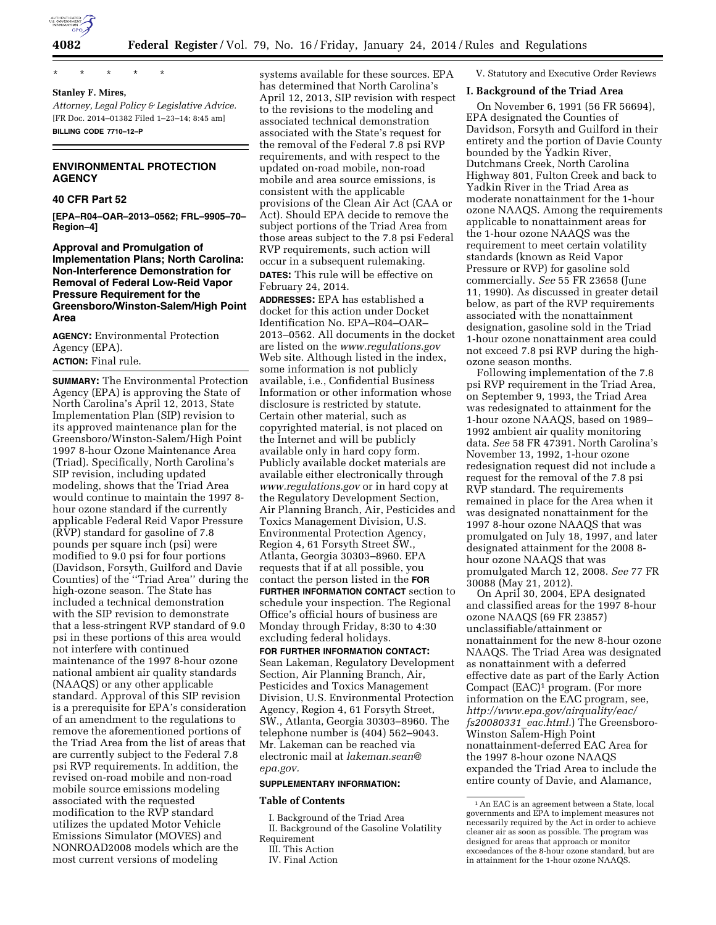

\* \* \* \* \* **Stanley F. Mires,** 

*Attorney, Legal Policy & Legislative Advice.*  [FR Doc. 2014–01382 Filed 1–23–14; 8:45 am] **BILLING CODE 7710–12–P** 

# **ENVIRONMENTAL PROTECTION AGENCY**

### **40 CFR Part 52**

**[EPA–R04–OAR–2013–0562; FRL–9905–70– Region–4]** 

**Approval and Promulgation of Implementation Plans; North Carolina: Non-Interference Demonstration for Removal of Federal Low-Reid Vapor Pressure Requirement for the Greensboro/Winston-Salem/High Point Area** 

**AGENCY:** Environmental Protection Agency (EPA). **ACTION:** Final rule.

**SUMMARY:** The Environmental Protection Agency (EPA) is approving the State of North Carolina's April 12, 2013, State Implementation Plan (SIP) revision to its approved maintenance plan for the Greensboro/Winston-Salem/High Point 1997 8-hour Ozone Maintenance Area (Triad). Specifically, North Carolina's SIP revision, including updated modeling, shows that the Triad Area would continue to maintain the 1997 8 hour ozone standard if the currently applicable Federal Reid Vapor Pressure (RVP) standard for gasoline of 7.8 pounds per square inch (psi) were modified to 9.0 psi for four portions (Davidson, Forsyth, Guilford and Davie Counties) of the ''Triad Area'' during the high-ozone season. The State has included a technical demonstration with the SIP revision to demonstrate that a less-stringent RVP standard of 9.0 psi in these portions of this area would not interfere with continued maintenance of the 1997 8-hour ozone national ambient air quality standards (NAAQS) or any other applicable standard. Approval of this SIP revision is a prerequisite for EPA's consideration of an amendment to the regulations to remove the aforementioned portions of the Triad Area from the list of areas that are currently subject to the Federal 7.8 psi RVP requirements. In addition, the revised on-road mobile and non-road mobile source emissions modeling associated with the requested modification to the RVP standard utilizes the updated Motor Vehicle Emissions Simulator (MOVES) and NONROAD2008 models which are the most current versions of modeling

systems available for these sources. EPA has determined that North Carolina's April 12, 2013, SIP revision with respect to the revisions to the modeling and associated technical demonstration associated with the State's request for the removal of the Federal 7.8 psi RVP requirements, and with respect to the updated on-road mobile, non-road mobile and area source emissions, is consistent with the applicable provisions of the Clean Air Act (CAA or Act). Should EPA decide to remove the subject portions of the Triad Area from those areas subject to the 7.8 psi Federal RVP requirements, such action will occur in a subsequent rulemaking. **DATES:** This rule will be effective on February 24, 2014.

**ADDRESSES:** EPA has established a docket for this action under Docket Identification No. EPA–R04–OAR– 2013–0562. All documents in the docket are listed on the *[www.regulations.gov](http://www.regulations.gov)*  Web site. Although listed in the index, some information is not publicly available, i.e., Confidential Business Information or other information whose disclosure is restricted by statute. Certain other material, such as copyrighted material, is not placed on the Internet and will be publicly available only in hard copy form. Publicly available docket materials are available either electronically through *[www.regulations.gov](http://www.regulations.gov)* or in hard copy at the Regulatory Development Section, Air Planning Branch, Air, Pesticides and Toxics Management Division, U.S. Environmental Protection Agency, Region 4, 61 Forsyth Street SW., Atlanta, Georgia 30303–8960. EPA requests that if at all possible, you contact the person listed in the **FOR FURTHER INFORMATION CONTACT** section to schedule your inspection. The Regional Office's official hours of business are Monday through Friday, 8:30 to 4:30 excluding federal holidays.

**FOR FURTHER INFORMATION CONTACT:**  Sean Lakeman, Regulatory Development Section, Air Planning Branch, Air, Pesticides and Toxics Management Division, U.S. Environmental Protection Agency, Region 4, 61 Forsyth Street, SW., Atlanta, Georgia 30303–8960. The telephone number is (404) 562–9043. Mr. Lakeman can be reached via electronic mail at *[lakeman.sean@](mailto:lakeman.sean@epa.gov) [epa.gov.](mailto:lakeman.sean@epa.gov)* 

#### **SUPPLEMENTARY INFORMATION:**

#### **Table of Contents**

I. Background of the Triad Area II. Background of the Gasoline Volatility Requirement

V. Statutory and Executive Order Reviews

#### **I. Background of the Triad Area**

On November 6, 1991 (56 FR 56694), EPA designated the Counties of Davidson, Forsyth and Guilford in their entirety and the portion of Davie County bounded by the Yadkin River, Dutchmans Creek, North Carolina Highway 801, Fulton Creek and back to Yadkin River in the Triad Area as moderate nonattainment for the 1-hour ozone NAAQS. Among the requirements applicable to nonattainment areas for the 1-hour ozone NAAQS was the requirement to meet certain volatility standards (known as Reid Vapor Pressure or RVP) for gasoline sold commercially. *See* 55 FR 23658 (June 11, 1990). As discussed in greater detail below, as part of the RVP requirements associated with the nonattainment designation, gasoline sold in the Triad 1-hour ozone nonattainment area could not exceed 7.8 psi RVP during the highozone season months.

Following implementation of the 7.8 psi RVP requirement in the Triad Area, on September 9, 1993, the Triad Area was redesignated to attainment for the 1-hour ozone NAAQS, based on 1989– 1992 ambient air quality monitoring data. *See* 58 FR 47391. North Carolina's November 13, 1992, 1-hour ozone redesignation request did not include a request for the removal of the 7.8 psi RVP standard. The requirements remained in place for the Area when it was designated nonattainment for the 1997 8-hour ozone NAAQS that was promulgated on July 18, 1997, and later designated attainment for the 2008 8 hour ozone NAAQS that was promulgated March 12, 2008. *See* 77 FR 30088 (May 21, 2012).

On April 30, 2004, EPA designated and classified areas for the 1997 8-hour ozone NAAQS (69 FR 23857) unclassifiable/attainment or nonattainment for the new 8-hour ozone NAAQS. The Triad Area was designated as nonattainment with a deferred effective date as part of the Early Action Compact (EAC)1 program. (For more information on the EAC program, see, *[http://www.epa.gov/airquality/eac/](http://www.epa.gov/airquality/eac/fs20080331_eac.html) [fs20080331](http://www.epa.gov/airquality/eac/fs20080331_eac.html)*\_*eac.html.*) The Greensboro-Winston Salem-High Point nonattainment-deferred EAC Area for the 1997 8-hour ozone NAAQS expanded the Triad Area to include the entire county of Davie, and Alamance,

III. This Action

IV. Final Action

<sup>1</sup>An EAC is an agreement between a State, local governments and EPA to implement measures not necessarily required by the Act in order to achieve cleaner air as soon as possible. The program was designed for areas that approach or monitor exceedances of the 8-hour ozone standard, but are in attainment for the 1-hour ozone NAAQS.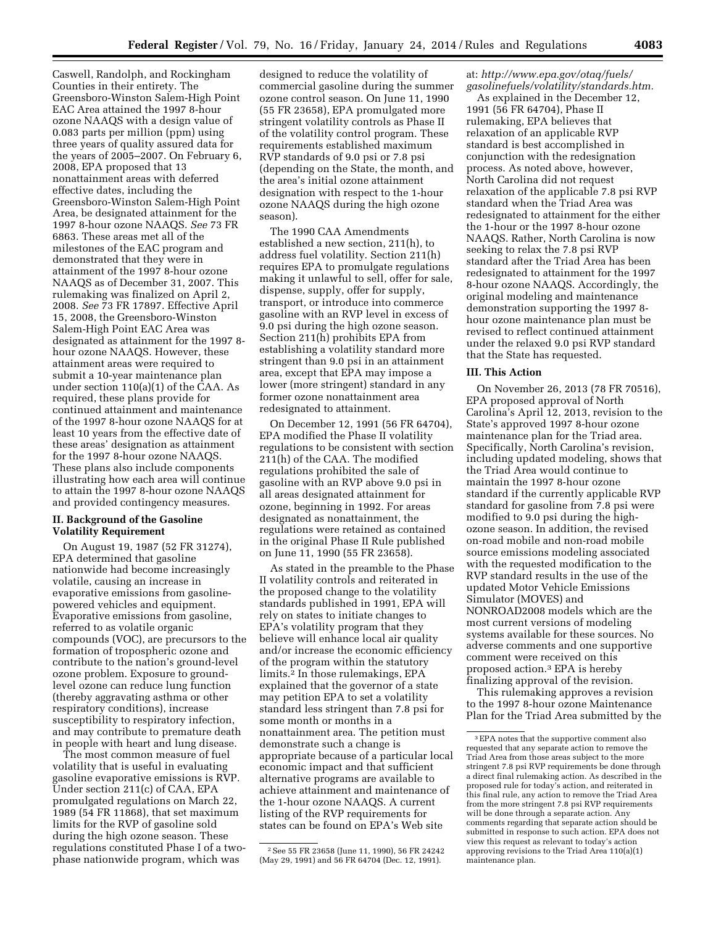Caswell, Randolph, and Rockingham Counties in their entirety. The Greensboro-Winston Salem-High Point EAC Area attained the 1997 8-hour ozone NAAQS with a design value of 0.083 parts per million (ppm) using three years of quality assured data for the years of 2005–2007. On February 6, 2008, EPA proposed that 13 nonattainment areas with deferred effective dates, including the Greensboro-Winston Salem-High Point Area, be designated attainment for the 1997 8-hour ozone NAAQS. *See* 73 FR 6863. These areas met all of the milestones of the EAC program and demonstrated that they were in attainment of the 1997 8-hour ozone NAAQS as of December 31, 2007. This rulemaking was finalized on April 2, 2008. *See* 73 FR 17897. Effective April 15, 2008, the Greensboro-Winston Salem-High Point EAC Area was designated as attainment for the 1997 8 hour ozone NAAQS. However, these attainment areas were required to submit a 10-year maintenance plan under section 110(a)(1) of the CAA. As required, these plans provide for continued attainment and maintenance of the 1997 8-hour ozone NAAQS for at least 10 years from the effective date of these areas' designation as attainment for the 1997 8-hour ozone NAAQS. These plans also include components illustrating how each area will continue to attain the 1997 8-hour ozone NAAQS and provided contingency measures.

## **II. Background of the Gasoline Volatility Requirement**

On August 19, 1987 (52 FR 31274), EPA determined that gasoline nationwide had become increasingly volatile, causing an increase in evaporative emissions from gasolinepowered vehicles and equipment. Evaporative emissions from gasoline, referred to as volatile organic compounds (VOC), are precursors to the formation of tropospheric ozone and contribute to the nation's ground-level ozone problem. Exposure to groundlevel ozone can reduce lung function (thereby aggravating asthma or other respiratory conditions), increase susceptibility to respiratory infection, and may contribute to premature death in people with heart and lung disease.

The most common measure of fuel volatility that is useful in evaluating gasoline evaporative emissions is RVP. Under section 211(c) of CAA, EPA promulgated regulations on March 22, 1989 (54 FR 11868), that set maximum limits for the RVP of gasoline sold during the high ozone season. These regulations constituted Phase I of a twophase nationwide program, which was

designed to reduce the volatility of commercial gasoline during the summer ozone control season. On June 11, 1990 (55 FR 23658), EPA promulgated more stringent volatility controls as Phase II of the volatility control program. These requirements established maximum RVP standards of 9.0 psi or 7.8 psi (depending on the State, the month, and the area's initial ozone attainment designation with respect to the 1-hour ozone NAAQS during the high ozone season).

The 1990 CAA Amendments established a new section, 211(h), to address fuel volatility. Section 211(h) requires EPA to promulgate regulations making it unlawful to sell, offer for sale, dispense, supply, offer for supply, transport, or introduce into commerce gasoline with an RVP level in excess of 9.0 psi during the high ozone season. Section 211(h) prohibits EPA from establishing a volatility standard more stringent than 9.0 psi in an attainment area, except that EPA may impose a lower (more stringent) standard in any former ozone nonattainment area redesignated to attainment.

On December 12, 1991 (56 FR 64704), EPA modified the Phase II volatility regulations to be consistent with section 211(h) of the CAA. The modified regulations prohibited the sale of gasoline with an RVP above 9.0 psi in all areas designated attainment for ozone, beginning in 1992. For areas designated as nonattainment, the regulations were retained as contained in the original Phase II Rule published on June 11, 1990 (55 FR 23658).

As stated in the preamble to the Phase II volatility controls and reiterated in the proposed change to the volatility standards published in 1991, EPA will rely on states to initiate changes to EPA's volatility program that they believe will enhance local air quality and/or increase the economic efficiency of the program within the statutory limits.2 In those rulemakings, EPA explained that the governor of a state may petition EPA to set a volatility standard less stringent than 7.8 psi for some month or months in a nonattainment area. The petition must demonstrate such a change is appropriate because of a particular local economic impact and that sufficient alternative programs are available to achieve attainment and maintenance of the 1-hour ozone NAAQS. A current listing of the RVP requirements for states can be found on EPA's Web site

## at: *[http://www.epa.gov/otaq/fuels/](http://www.epa.gov/otaq/fuels/gasolinefuels/volatility/standards.htm) [gasolinefuels/volatility/standards.htm.](http://www.epa.gov/otaq/fuels/gasolinefuels/volatility/standards.htm)*

As explained in the December 12, 1991 (56 FR 64704), Phase II rulemaking, EPA believes that relaxation of an applicable RVP standard is best accomplished in conjunction with the redesignation process. As noted above, however, North Carolina did not request relaxation of the applicable 7.8 psi RVP standard when the Triad Area was redesignated to attainment for the either the 1-hour or the 1997 8-hour ozone NAAQS. Rather, North Carolina is now seeking to relax the 7.8 psi RVP standard after the Triad Area has been redesignated to attainment for the 1997 8-hour ozone NAAQS. Accordingly, the original modeling and maintenance demonstration supporting the 1997 8 hour ozone maintenance plan must be revised to reflect continued attainment under the relaxed 9.0 psi RVP standard that the State has requested.

#### **III. This Action**

On November 26, 2013 (78 FR 70516), EPA proposed approval of North Carolina's April 12, 2013, revision to the State's approved 1997 8-hour ozone maintenance plan for the Triad area. Specifically, North Carolina's revision, including updated modeling, shows that the Triad Area would continue to maintain the 1997 8-hour ozone standard if the currently applicable RVP standard for gasoline from 7.8 psi were modified to 9.0 psi during the highozone season. In addition, the revised on-road mobile and non-road mobile source emissions modeling associated with the requested modification to the RVP standard results in the use of the updated Motor Vehicle Emissions Simulator (MOVES) and NONROAD2008 models which are the most current versions of modeling systems available for these sources. No adverse comments and one supportive comment were received on this proposed action.3 EPA is hereby finalizing approval of the revision.

This rulemaking approves a revision to the 1997 8-hour ozone Maintenance Plan for the Triad Area submitted by the

<sup>2</sup>See 55 FR 23658 (June 11, 1990), 56 FR 24242 (May 29, 1991) and 56 FR 64704 (Dec. 12, 1991).

<sup>3</sup>EPA notes that the supportive comment also requested that any separate action to remove the Triad Area from those areas subject to the more stringent 7.8 psi RVP requirements be done through a direct final rulemaking action. As described in the proposed rule for today's action, and reiterated in this final rule, any action to remove the Triad Area from the more stringent 7.8 psi RVP requirements will be done through a separate action. Any comments regarding that separate action should be submitted in response to such action. EPA does not view this request as relevant to today's action approving revisions to the Triad Area 110(a)(1) maintenance plan.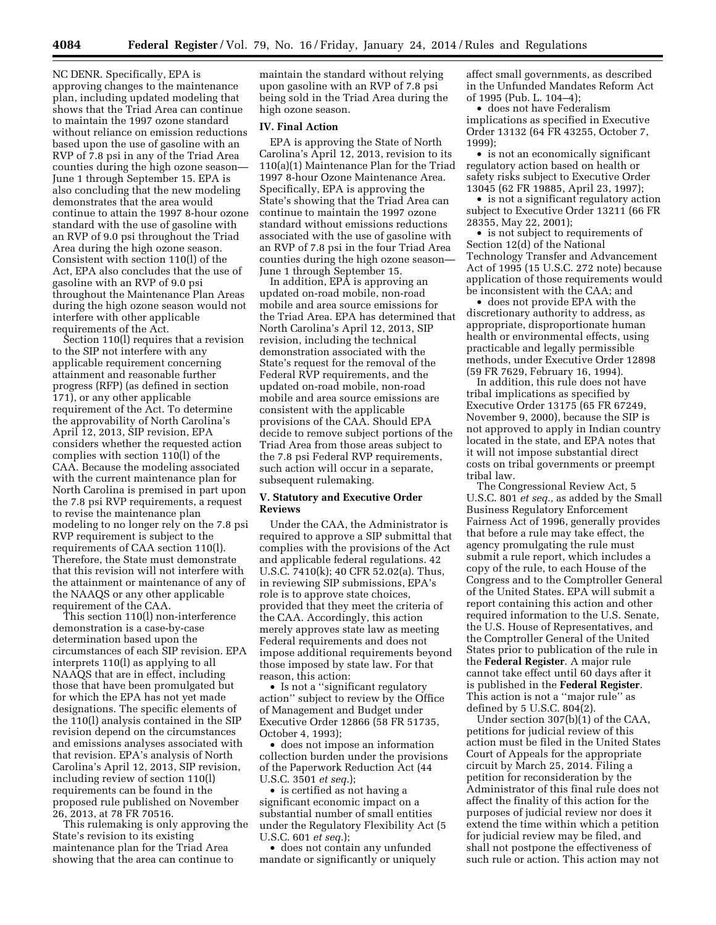NC DENR. Specifically, EPA is approving changes to the maintenance plan, including updated modeling that shows that the Triad Area can continue to maintain the 1997 ozone standard without reliance on emission reductions based upon the use of gasoline with an RVP of 7.8 psi in any of the Triad Area counties during the high ozone season— June 1 through September 15. EPA is also concluding that the new modeling demonstrates that the area would continue to attain the 1997 8-hour ozone standard with the use of gasoline with an RVP of 9.0 psi throughout the Triad Area during the high ozone season. Consistent with section 110(l) of the Act, EPA also concludes that the use of gasoline with an RVP of 9.0 psi throughout the Maintenance Plan Areas during the high ozone season would not interfere with other applicable requirements of the Act.

Section 110(l) requires that a revision to the SIP not interfere with any applicable requirement concerning attainment and reasonable further progress (RFP) (as defined in section 171), or any other applicable requirement of the Act. To determine the approvability of North Carolina's April 12, 2013, SIP revision, EPA considers whether the requested action complies with section 110(l) of the CAA. Because the modeling associated with the current maintenance plan for North Carolina is premised in part upon the 7.8 psi RVP requirements, a request to revise the maintenance plan modeling to no longer rely on the 7.8 psi RVP requirement is subject to the requirements of CAA section 110(l). Therefore, the State must demonstrate that this revision will not interfere with the attainment or maintenance of any of the NAAQS or any other applicable requirement of the CAA.

This section 110(l) non-interference demonstration is a case-by-case determination based upon the circumstances of each SIP revision. EPA interprets 110(l) as applying to all NAAQS that are in effect, including those that have been promulgated but for which the EPA has not yet made designations. The specific elements of the 110(l) analysis contained in the SIP revision depend on the circumstances and emissions analyses associated with that revision. EPA's analysis of North Carolina's April 12, 2013, SIP revision, including review of section 110(l) requirements can be found in the proposed rule published on November 26, 2013, at 78 FR 70516.

This rulemaking is only approving the State's revision to its existing maintenance plan for the Triad Area showing that the area can continue to

maintain the standard without relying upon gasoline with an RVP of 7.8 psi being sold in the Triad Area during the high ozone season.

#### **IV. Final Action**

EPA is approving the State of North Carolina's April 12, 2013, revision to its 110(a)(1) Maintenance Plan for the Triad 1997 8-hour Ozone Maintenance Area. Specifically, EPA is approving the State's showing that the Triad Area can continue to maintain the 1997 ozone standard without emissions reductions associated with the use of gasoline with an RVP of 7.8 psi in the four Triad Area counties during the high ozone season— June 1 through September 15.

In addition, EPA is approving an updated on-road mobile, non-road mobile and area source emissions for the Triad Area. EPA has determined that North Carolina's April 12, 2013, SIP revision, including the technical demonstration associated with the State's request for the removal of the Federal RVP requirements, and the updated on-road mobile, non-road mobile and area source emissions are consistent with the applicable provisions of the CAA. Should EPA decide to remove subject portions of the Triad Area from those areas subject to the 7.8 psi Federal RVP requirements, such action will occur in a separate, subsequent rulemaking.

### **V. Statutory and Executive Order Reviews**

Under the CAA, the Administrator is required to approve a SIP submittal that complies with the provisions of the Act and applicable federal regulations. 42 U.S.C. 7410(k); 40 CFR 52.02(a). Thus, in reviewing SIP submissions, EPA's role is to approve state choices, provided that they meet the criteria of the CAA. Accordingly, this action merely approves state law as meeting Federal requirements and does not impose additional requirements beyond those imposed by state law. For that reason, this action:

• Is not a ''significant regulatory action'' subject to review by the Office of Management and Budget under Executive Order 12866 (58 FR 51735, October 4, 1993);

• does not impose an information collection burden under the provisions of the Paperwork Reduction Act (44 U.S.C. 3501 *et seq.*);

• is certified as not having a significant economic impact on a substantial number of small entities under the Regulatory Flexibility Act (5 U.S.C. 601 *et seq.*);

• does not contain any unfunded mandate or significantly or uniquely affect small governments, as described in the Unfunded Mandates Reform Act of 1995 (Pub. L. 104–4);

• does not have Federalism implications as specified in Executive Order 13132 (64 FR 43255, October 7, 1999);

• is not an economically significant regulatory action based on health or safety risks subject to Executive Order 13045 (62 FR 19885, April 23, 1997);

• is not a significant regulatory action subject to Executive Order 13211 (66 FR 28355, May 22, 2001);

• is not subject to requirements of Section 12(d) of the National Technology Transfer and Advancement Act of 1995 (15 U.S.C. 272 note) because application of those requirements would be inconsistent with the CAA; and

• does not provide EPA with the discretionary authority to address, as appropriate, disproportionate human health or environmental effects, using practicable and legally permissible methods, under Executive Order 12898 (59 FR 7629, February 16, 1994).

In addition, this rule does not have tribal implications as specified by Executive Order 13175 (65 FR 67249, November 9, 2000), because the SIP is not approved to apply in Indian country located in the state, and EPA notes that it will not impose substantial direct costs on tribal governments or preempt tribal law.

The Congressional Review Act, 5 U.S.C. 801 *et seq.,* as added by the Small Business Regulatory Enforcement Fairness Act of 1996, generally provides that before a rule may take effect, the agency promulgating the rule must submit a rule report, which includes a copy of the rule, to each House of the Congress and to the Comptroller General of the United States. EPA will submit a report containing this action and other required information to the U.S. Senate, the U.S. House of Representatives, and the Comptroller General of the United States prior to publication of the rule in the **Federal Register**. A major rule cannot take effect until 60 days after it is published in the **Federal Register**. This action is not a ''major rule'' as defined by 5 U.S.C. 804(2).

Under section 307(b)(1) of the CAA, petitions for judicial review of this action must be filed in the United States Court of Appeals for the appropriate circuit by March 25, 2014. Filing a petition for reconsideration by the Administrator of this final rule does not affect the finality of this action for the purposes of judicial review nor does it extend the time within which a petition for judicial review may be filed, and shall not postpone the effectiveness of such rule or action. This action may not